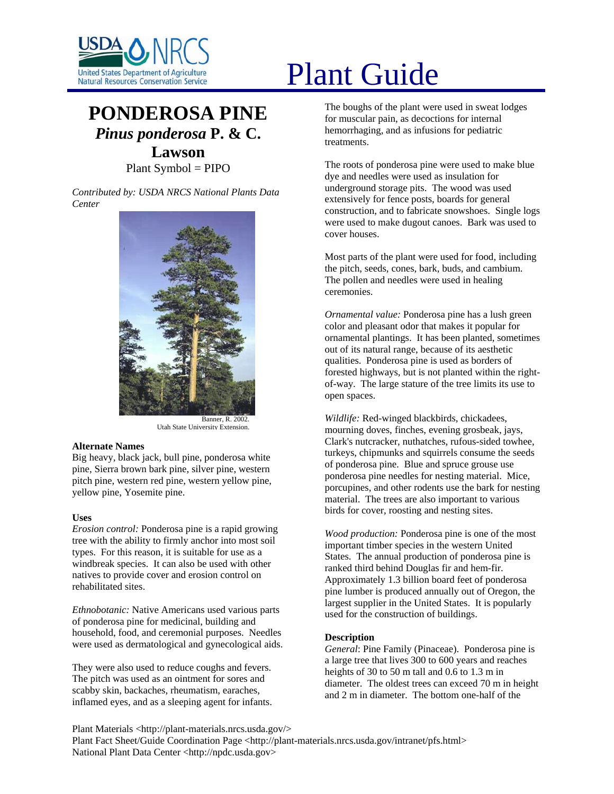

# **PONDEROSA PINE** *Pinus ponderosa* **P. & C. Lawson**

Plant Symbol = PIPO

*Contributed by: USDA NRCS National Plants Data Center* 



Banner, R. 2002. Utah State University Extension.

# **Alternate Names**

Big heavy, black jack, bull pine, ponderosa white pine, Sierra brown bark pine, silver pine, western pitch pine, western red pine, western yellow pine, yellow pine, Yosemite pine.

# **Uses**

*Erosion control:* Ponderosa pine is a rapid growing tree with the ability to firmly anchor into most soil types. For this reason, it is suitable for use as a windbreak species. It can also be used with other natives to provide cover and erosion control on rehabilitated sites.

*Ethnobotanic:* Native Americans used various parts of ponderosa pine for medicinal, building and household, food, and ceremonial purposes. Needles were used as dermatological and gynecological aids.

They were also used to reduce coughs and fevers. The pitch was used as an ointment for sores and scabby skin, backaches, rheumatism, earaches, inflamed eyes, and as a sleeping agent for infants.

# United States Department of Agriculture<br>Natural Resources Conservation Service

The boughs of the plant were used in sweat lodges for muscular pain, as decoctions for internal hemorrhaging, and as infusions for pediatric treatments.

The roots of ponderosa pine were used to make blue dye and needles were used as insulation for underground storage pits. The wood was used extensively for fence posts, boards for general construction, and to fabricate snowshoes. Single logs were used to make dugout canoes. Bark was used to cover houses.

Most parts of the plant were used for food, including the pitch, seeds, cones, bark, buds, and cambium. The pollen and needles were used in healing ceremonies.

*Ornamental value:* Ponderosa pine has a lush green color and pleasant odor that makes it popular for ornamental plantings. It has been planted, sometimes out of its natural range, because of its aesthetic qualities. Ponderosa pine is used as borders of forested highways, but is not planted within the rightof-way. The large stature of the tree limits its use to open spaces.

*Wildlife:* Red-winged blackbirds, chickadees, mourning doves, finches, evening grosbeak, jays, Clark's nutcracker, nuthatches, rufous-sided towhee, turkeys, chipmunks and squirrels consume the seeds of ponderosa pine. Blue and spruce grouse use ponderosa pine needles for nesting material. Mice, porcupines, and other rodents use the bark for nesting material. The trees are also important to various birds for cover, roosting and nesting sites.

*Wood production:* Ponderosa pine is one of the most important timber species in the western United States. The annual production of ponderosa pine is ranked third behind Douglas fir and hem-fir. Approximately 1.3 billion board feet of ponderosa pine lumber is produced annually out of Oregon, the largest supplier in the United States. It is popularly used for the construction of buildings.

# **Description**

*General*: Pine Family (Pinaceae). Ponderosa pine is a large tree that lives 300 to 600 years and reaches heights of 30 to 50 m tall and 0.6 to 1.3 m in diameter. The oldest trees can exceed 70 m in height and 2 m in diameter. The bottom one-half of the

Plant Materials <http://plant-materials.nrcs.usda.gov/> Plant Fact Sheet/Guide Coordination Page <http://plant-materials.nrcs.usda.gov/intranet/pfs.html> National Plant Data Center <http://npdc.usda.gov>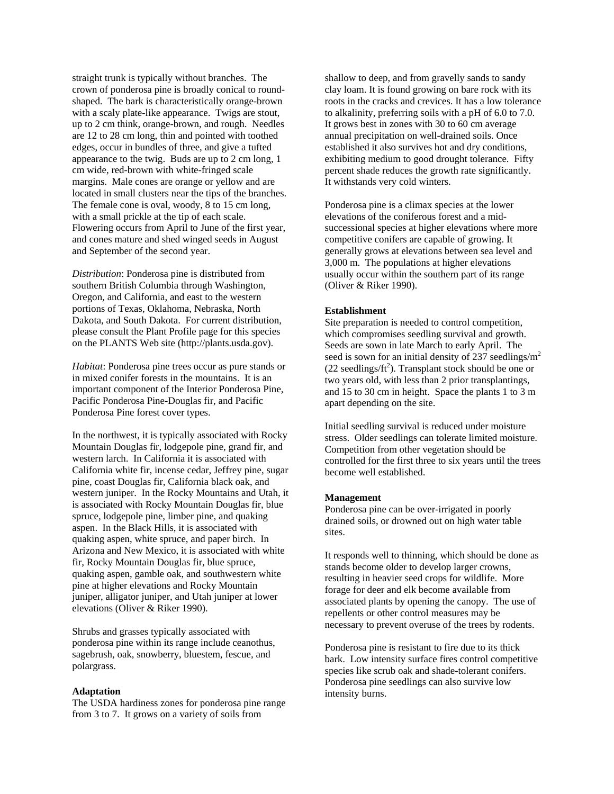straight trunk is typically without branches. The crown of ponderosa pine is broadly conical to roundshaped. The bark is characteristically orange-brown with a scaly plate-like appearance. Twigs are stout, up to 2 cm think, orange-brown, and rough. Needles are 12 to 28 cm long, thin and pointed with toothed edges, occur in bundles of three, and give a tufted appearance to the twig. Buds are up to 2 cm long, 1 cm wide, red-brown with white-fringed scale margins. Male cones are orange or yellow and are located in small clusters near the tips of the branches. The female cone is oval, woody, 8 to 15 cm long, with a small prickle at the tip of each scale. Flowering occurs from April to June of the first year, and cones mature and shed winged seeds in August and September of the second year.

*Distribution*: Ponderosa pine is distributed from southern British Columbia through Washington, Oregon, and California, and east to the western portions of Texas, Oklahoma, Nebraska, North Dakota, and South Dakota. For current distribution, please consult the Plant Profile page for this species on the PLANTS Web site (http://plants.usda.gov).

*Habitat*: Ponderosa pine trees occur as pure stands or in mixed conifer forests in the mountains. It is an important component of the Interior Ponderosa Pine, Pacific Ponderosa Pine-Douglas fir, and Pacific Ponderosa Pine forest cover types.

In the northwest, it is typically associated with Rocky Mountain Douglas fir, lodgepole pine, grand fir, and western larch. In California it is associated with California white fir, incense cedar, Jeffrey pine, sugar pine, coast Douglas fir, California black oak, and western juniper. In the Rocky Mountains and Utah, it is associated with Rocky Mountain Douglas fir, blue spruce, lodgepole pine, limber pine, and quaking aspen. In the Black Hills, it is associated with quaking aspen, white spruce, and paper birch. In Arizona and New Mexico, it is associated with white fir, Rocky Mountain Douglas fir, blue spruce, quaking aspen, gamble oak, and southwestern white pine at higher elevations and Rocky Mountain juniper, alligator juniper, and Utah juniper at lower elevations (Oliver & Riker 1990).

Shrubs and grasses typically associated with ponderosa pine within its range include ceanothus, sagebrush, oak, snowberry, bluestem, fescue, and polargrass.

# **Adaptation**

The USDA hardiness zones for ponderosa pine range from 3 to 7. It grows on a variety of soils from

shallow to deep, and from gravelly sands to sandy clay loam. It is found growing on bare rock with its roots in the cracks and crevices. It has a low tolerance to alkalinity, preferring soils with a pH of 6.0 to 7.0. It grows best in zones with 30 to 60 cm average annual precipitation on well-drained soils. Once established it also survives hot and dry conditions, exhibiting medium to good drought tolerance. Fifty percent shade reduces the growth rate significantly. It withstands very cold winters.

Ponderosa pine is a climax species at the lower elevations of the coniferous forest and a midsuccessional species at higher elevations where more competitive conifers are capable of growing. It generally grows at elevations between sea level and 3,000 m. The populations at higher elevations usually occur within the southern part of its range (Oliver & Riker 1990).

# **Establishment**

Site preparation is needed to control competition, which compromises seedling survival and growth. Seeds are sown in late March to early April. The seed is sown for an initial density of 237 seedlings/ $m<sup>2</sup>$  $(22$  seedlings/ $ft^2$ ). Transplant stock should be one or two years old, with less than 2 prior transplantings, and 15 to 30 cm in height. Space the plants 1 to 3 m apart depending on the site.

Initial seedling survival is reduced under moisture stress. Older seedlings can tolerate limited moisture. Competition from other vegetation should be controlled for the first three to six years until the trees become well established.

#### **Management**

Ponderosa pine can be over-irrigated in poorly drained soils, or drowned out on high water table sites.

It responds well to thinning, which should be done as stands become older to develop larger crowns, resulting in heavier seed crops for wildlife. More forage for deer and elk become available from associated plants by opening the canopy. The use of repellents or other control measures may be necessary to prevent overuse of the trees by rodents.

Ponderosa pine is resistant to fire due to its thick bark. Low intensity surface fires control competitive species like scrub oak and shade-tolerant conifers. Ponderosa pine seedlings can also survive low intensity burns.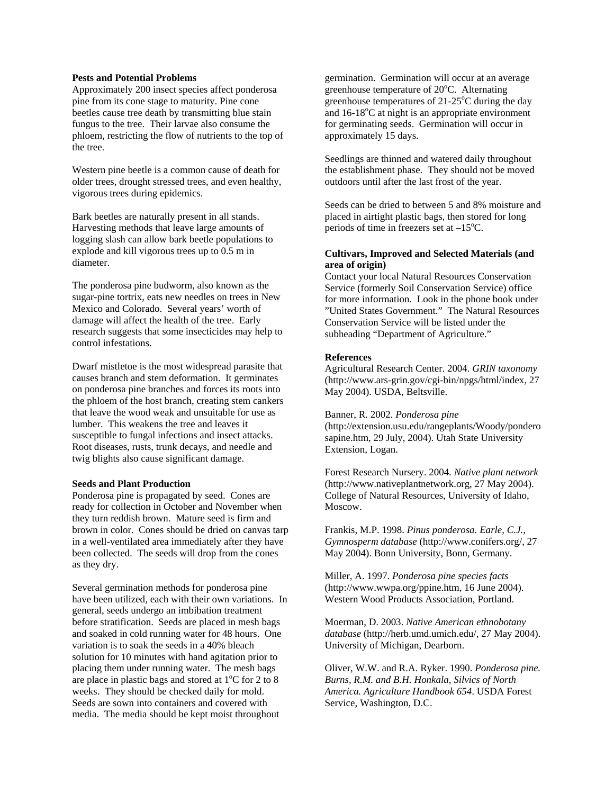# **Pests and Potential Problems**

Approximately 200 insect species affect ponderosa pine from its cone stage to maturity. Pine cone beetles cause tree death by transmitting blue stain fungus to the tree. Their larvae also consume the phloem, restricting the flow of nutrients to the top of the tree.

Western pine beetle is a common cause of death for older trees, drought stressed trees, and even healthy, vigorous trees during epidemics.

Bark beetles are naturally present in all stands. Harvesting methods that leave large amounts of logging slash can allow bark beetle populations to explode and kill vigorous trees up to 0.5 m in diameter.

The ponderosa pine budworm, also known as the sugar-pine tortrix, eats new needles on trees in New Mexico and Colorado. Several years' worth of damage will affect the health of the tree. Early research suggests that some insecticides may help to control infestations.

Dwarf mistletoe is the most widespread parasite that causes branch and stem deformation. It germinates on ponderosa pine branches and forces its roots into the phloem of the host branch, creating stem cankers that leave the wood weak and unsuitable for use as lumber. This weakens the tree and leaves it susceptible to fungal infections and insect attacks. Root diseases, rusts, trunk decays, and needle and twig blights also cause significant damage.

#### **Seeds and Plant Production**

Ponderosa pine is propagated by seed. Cones are ready for collection in October and November when they turn reddish brown. Mature seed is firm and brown in color. Cones should be dried on canvas tarp in a well-ventilated area immediately after they have been collected. The seeds will drop from the cones as they dry.

Several germination methods for ponderosa pine have been utilized, each with their own variations. In general, seeds undergo an imbibation treatment before stratification. Seeds are placed in mesh bags and soaked in cold running water for 48 hours. One variation is to soak the seeds in a 40% bleach solution for 10 minutes with hand agitation prior to placing them under running water. The mesh bags are place in plastic bags and stored at  $1^{\circ}$ C for 2 to 8 weeks. They should be checked daily for mold. Seeds are sown into containers and covered with media. The media should be kept moist throughout

germination. Germination will occur at an average greenhouse temperature of 20°C. Alternating greenhouse temperatures of  $21-25^{\circ}$ C during the day and 16-18°C at night is an appropriate environment for germinating seeds. Germination will occur in approximately 15 days.

Seedlings are thinned and watered daily throughout the establishment phase. They should not be moved outdoors until after the last frost of the year.

Seeds can be dried to between 5 and 8% moisture and placed in airtight plastic bags, then stored for long periods of time in freezers set at  $-15^{\circ}$ C.

# **Cultivars, Improved and Selected Materials (and area of origin)**

Contact your local Natural Resources Conservation Service (formerly Soil Conservation Service) office for more information. Look in the phone book under "United States Government." The Natural Resources Conservation Service will be listed under the subheading "Department of Agriculture."

# **References**

Agricultural Research Center. 2004. *GRIN taxonomy*  (http://www.ars-grin.gov/cgi-bin/npgs/html/index, 27 May 2004). USDA, Beltsville.

Banner, R. 2002. *Ponderosa pine*  (http://extension.usu.edu/rangeplants/Woody/pondero sapine.htm, 29 July, 2004). Utah State University Extension, Logan.

Forest Research Nursery. 2004. *Native plant network*  (http://www.nativeplantnetwork.org, 27 May 2004). College of Natural Resources, University of Idaho, Moscow.

Frankis, M.P. 1998. *Pinus ponderosa. Earle, C.J., Gymnosperm database* (http://www.conifers.org/, 27 May 2004). Bonn University, Bonn, Germany.

Miller, A. 1997. *Ponderosa pine species facts*  (http://www.wwpa.org/ppine.htm, 16 June 2004). Western Wood Products Association, Portland.

Moerman, D. 2003. *Native American ethnobotany database* (http://herb.umd.umich.edu/, 27 May 2004). University of Michigan, Dearborn.

Oliver, W.W. and R.A. Ryker. 1990. *Ponderosa pine. Burns, R.M. and B.H. Honkala, Silvics of North America. Agriculture Handbook 654*. USDA Forest Service, Washington, D.C.